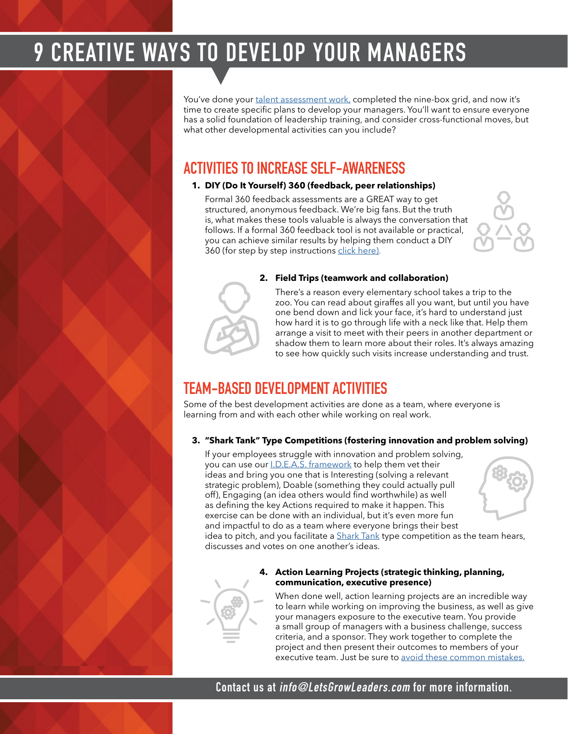# **9 CREATIVE WAYS TO DEVELOP YOUR MANAGERS**

You've done your [talent assessment work,](http://letsgrowleaders.com/2015/03/25/the-5-biggest-succession-planning-mistakes/) completed the nine-box grid, and now it's time to create specific plans to develop your managers. You'll want to ensure everyone has a solid foundation of leadership training, and consider cross-functional moves, but what other developmental activities can you include?

## **ACTIVITIES TO INCREASE SELF-AWARENESS**

### **1. DIY (Do It Yourself) 360 (feedback, peer relationships)**

Formal 360 feedback assessments are a GREAT way to get structured, anonymous feedback. We're big fans. But the truth is, what makes these tools valuable is always the conversation that follows. If a formal 360 feedback tool is not available or practical, you can achieve similar results by helping them conduct a DIY 360 (for step by step instructions [click here\).](https://letsgrowleaders.com/2014/08/20/a-360-feedback-tool-you-can-do-yourself/)





#### **2. Field Trips (teamwork and collaboration)**

There's a reason every elementary school takes a trip to the zoo. You can read about giraffes all you want, but until you have one bend down and lick your face, it's hard to understand just how hard it is to go through life with a neck like that. Help them arrange a visit to meet with their peers in another department or shadow them to learn more about their roles. It's always amazing to see how quickly such visits increase understanding and trust.

## **TEAM-BASED DEVELOPMENT ACTIVITIES**

Some of the best development activities are done as a team, where everyone is learning from and with each other while working on real work.

### **3. "Shark Tank" Type Competitions (fostering innovation and problem solving)**

If your employees struggle with innovation and problem solving, you can use our *[I.D.E.A.S. framework](https://letsgrowleaders.com/2019/09/12/help-your-team-bring-better-ideas/)* to help them vet their ideas and bring you one that is Interesting (solving a relevant strategic problem), Doable (something they could actually pull off), Engaging (an idea others would find worthwhile) as well as defining the key Actions required to make it happen. This exercise can be done with an individual, but it's even more fun and impactful to do as a team where everyone brings their best idea to pitch, and you facilitate a **Shark Tank type competition as the team hears**,



discusses and votes on one another's ideas.



### **4. Action Learning Projects (strategic thinking, planning, communication, executive presence)**

When done well, action learning projects are an incredible way to learn while working on improving the business, as well as give your managers exposure to the executive team. You provide a small group of managers with a business challenge, success criteria, and a sponsor. They work together to complete the project and then present their outcomes to members of your executive team. Just be sure to [avoid these common mistakes.](https://letsgrowleaders.com/2018/09/13/action-learning-projects/)